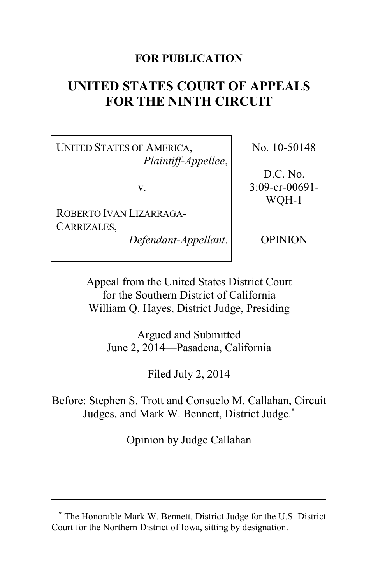## **FOR PUBLICATION**

# **UNITED STATES COURT OF APPEALS FOR THE NINTH CIRCUIT**

UNITED STATES OF AMERICA, *Plaintiff-Appellee*,

v.

ROBERTO IVAN LIZARRAGA-CARRIZALES,

*Defendant-Appellant*.

No. 10-50148

D.C. No. 3:09-cr-00691- WQH-1

OPINION

Appeal from the United States District Court for the Southern District of California William Q. Hayes, District Judge, Presiding

Argued and Submitted June 2, 2014—Pasadena, California

Filed July 2, 2014

Before: Stephen S. Trott and Consuelo M. Callahan, Circuit Judges, and Mark W. Bennett, District Judge.**\***

Opinion by Judge Callahan

**<sup>\*</sup>** The Honorable Mark W. Bennett, District Judge for the U.S. District Court for the Northern District of Iowa, sitting by designation.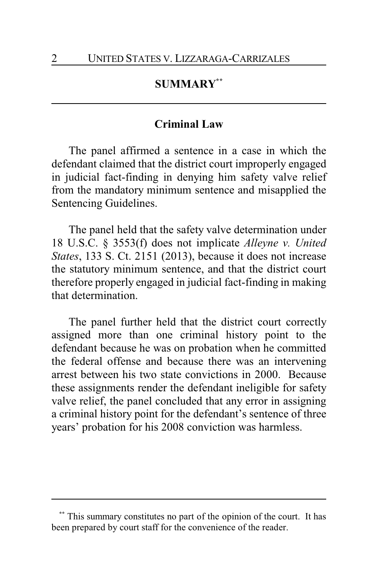## **SUMMARY\*\***

#### **Criminal Law**

The panel affirmed a sentence in a case in which the defendant claimed that the district court improperly engaged in judicial fact-finding in denying him safety valve relief from the mandatory minimum sentence and misapplied the Sentencing Guidelines.

The panel held that the safety valve determination under 18 U.S.C. § 3553(f) does not implicate *Alleyne v. United States*, 133 S. Ct. 2151 (2013), because it does not increase the statutory minimum sentence, and that the district court therefore properly engaged in judicial fact-finding in making that determination.

The panel further held that the district court correctly assigned more than one criminal history point to the defendant because he was on probation when he committed the federal offense and because there was an intervening arrest between his two state convictions in 2000. Because these assignments render the defendant ineligible for safety valve relief, the panel concluded that any error in assigning a criminal history point for the defendant's sentence of three years' probation for his 2008 conviction was harmless.

This summary constitutes no part of the opinion of the court. It has been prepared by court staff for the convenience of the reader.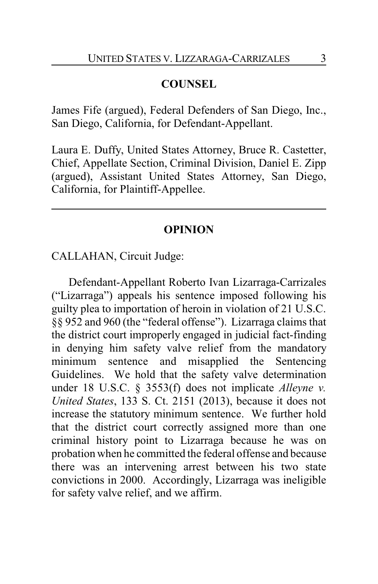# **COUNSEL**

James Fife (argued), Federal Defenders of San Diego, Inc., San Diego, California, for Defendant-Appellant.

Laura E. Duffy, United States Attorney, Bruce R. Castetter, Chief, Appellate Section, Criminal Division, Daniel E. Zipp (argued), Assistant United States Attorney, San Diego, California, for Plaintiff-Appellee.

## **OPINION**

CALLAHAN, Circuit Judge:

Defendant-Appellant Roberto Ivan Lizarraga-Carrizales ("Lizarraga") appeals his sentence imposed following his guilty plea to importation of heroin in violation of 21 U.S.C. §§ 952 and 960 (the "federal offense"). Lizarraga claims that the district court improperly engaged in judicial fact-finding in denying him safety valve relief from the mandatory minimum sentence and misapplied the Sentencing Guidelines. We hold that the safety valve determination under 18 U.S.C. § 3553(f) does not implicate *Alleyne v. United States*, 133 S. Ct. 2151 (2013), because it does not increase the statutory minimum sentence. We further hold that the district court correctly assigned more than one criminal history point to Lizarraga because he was on probation when he committed the federal offense and because there was an intervening arrest between his two state convictions in 2000. Accordingly, Lizarraga was ineligible for safety valve relief, and we affirm.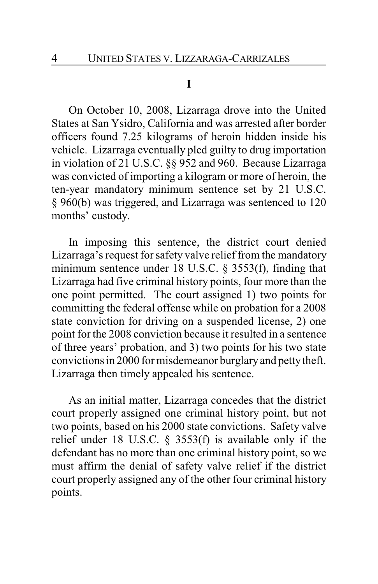#### **I**

On October 10, 2008, Lizarraga drove into the United States at San Ysidro, California and was arrested after border officers found 7.25 kilograms of heroin hidden inside his vehicle. Lizarraga eventually pled guilty to drug importation in violation of 21 U.S.C. §§ 952 and 960. Because Lizarraga was convicted of importing a kilogram or more of heroin, the ten-year mandatory minimum sentence set by 21 U.S.C. § 960(b) was triggered, and Lizarraga was sentenced to 120 months' custody.

In imposing this sentence, the district court denied Lizarraga's request for safety valve relief from the mandatory minimum sentence under 18 U.S.C. § 3553(f), finding that Lizarraga had five criminal history points, four more than the one point permitted. The court assigned 1) two points for committing the federal offense while on probation for a 2008 state conviction for driving on a suspended license, 2) one point for the 2008 conviction because it resulted in a sentence of three years' probation, and 3) two points for his two state convictions in 2000 for misdemeanor burglary and petty theft. Lizarraga then timely appealed his sentence.

As an initial matter, Lizarraga concedes that the district court properly assigned one criminal history point, but not two points, based on his 2000 state convictions. Safety valve relief under 18 U.S.C. § 3553(f) is available only if the defendant has no more than one criminal history point, so we must affirm the denial of safety valve relief if the district court properly assigned any of the other four criminal history points.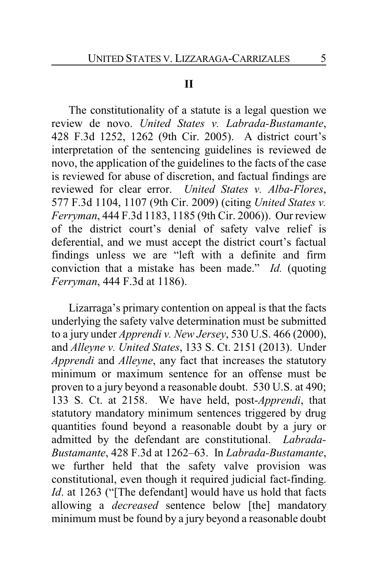#### **II**

The constitutionality of a statute is a legal question we review de novo. *United States v. Labrada-Bustamante*, 428 F.3d 1252, 1262 (9th Cir. 2005). A district court's interpretation of the sentencing guidelines is reviewed de novo, the application of the guidelines to the facts of the case is reviewed for abuse of discretion, and factual findings are reviewed for clear error. *United States v. Alba-Flores*, 577 F.3d 1104, 1107 (9th Cir. 2009) (citing *United States v. Ferryman*, 444 F.3d 1183, 1185 (9th Cir. 2006)). Our review of the district court's denial of safety valve relief is deferential, and we must accept the district court's factual findings unless we are "left with a definite and firm conviction that a mistake has been made." *Id.* (quoting *Ferryman*, 444 F.3d at 1186).

Lizarraga's primary contention on appeal is that the facts underlying the safety valve determination must be submitted to a jury under *Apprendi v. New Jersey*, 530 U.S. 466 (2000), and *Alleyne v. United States*, 133 S. Ct. 2151 (2013). Under *Apprendi* and *Alleyne*, any fact that increases the statutory minimum or maximum sentence for an offense must be proven to a jury beyond a reasonable doubt. 530 U.S. at 490; 133 S. Ct. at 2158. We have held, post-*Apprendi*, that statutory mandatory minimum sentences triggered by drug quantities found beyond a reasonable doubt by a jury or admitted by the defendant are constitutional. *Labrada-Bustamante*, 428 F.3d at 1262–63. In *Labrada-Bustamante*, we further held that the safety valve provision was constitutional, even though it required judicial fact-finding. *Id*. at 1263 ("[The defendant] would have us hold that facts allowing a *decreased* sentence below [the] mandatory minimum must be found by a jury beyond a reasonable doubt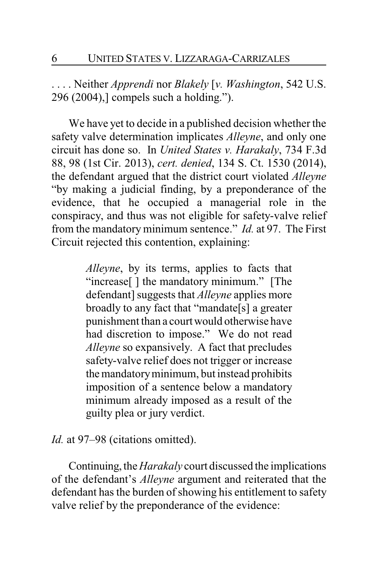. . . . Neither *Apprendi* nor *Blakely* [*v. Washington*, 542 U.S. 296 (2004),] compels such a holding.").

We have yet to decide in a published decision whether the safety valve determination implicates *Alleyne*, and only one circuit has done so. In *United States v. Harakaly*, 734 F.3d 88, 98 (1st Cir. 2013), *cert. denied*, 134 S. Ct. 1530 (2014), the defendant argued that the district court violated *Alleyne* "by making a judicial finding, by a preponderance of the evidence, that he occupied a managerial role in the conspiracy, and thus was not eligible for safety-valve relief from the mandatory minimum sentence." *Id.* at 97. The First Circuit rejected this contention, explaining:

> *Alleyne*, by its terms, applies to facts that "increase[ ] the mandatory minimum." [The defendant] suggests that *Alleyne* applies more broadly to any fact that "mandate[s] a greater punishment than a court would otherwise have had discretion to impose." We do not read *Alleyne* so expansively. A fact that precludes safety-valve relief does not trigger or increase the mandatoryminimum, but instead prohibits imposition of a sentence below a mandatory minimum already imposed as a result of the guilty plea or jury verdict.

#### *Id.* at 97–98 (citations omitted).

Continuing, the *Harakaly* court discussed the implications of the defendant's *Alleyne* argument and reiterated that the defendant has the burden of showing his entitlement to safety valve relief by the preponderance of the evidence: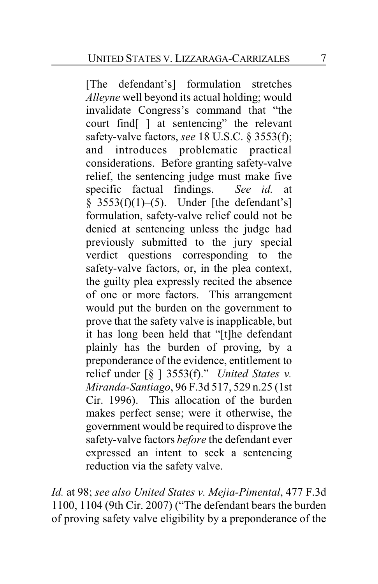[The defendant's] formulation stretches *Alleyne* well beyond its actual holding; would invalidate Congress's command that "the court find[ ] at sentencing" the relevant safety-valve factors, *see* 18 U.S.C. § 3553(f); and introduces problematic practical considerations. Before granting safety-valve relief, the sentencing judge must make five specific factual findings. *See id.* at  $§$  3553(f)(1)–(5). Under [the defendant's] formulation, safety-valve relief could not be denied at sentencing unless the judge had previously submitted to the jury special verdict questions corresponding to the safety-valve factors, or, in the plea context, the guilty plea expressly recited the absence of one or more factors. This arrangement would put the burden on the government to prove that the safety valve is inapplicable, but it has long been held that "[t]he defendant plainly has the burden of proving, by a preponderance of the evidence, entitlement to relief under [§ ] 3553(f)." *United States v. Miranda-Santiago*, 96 F.3d 517, 529 n.25 (1st Cir. 1996). This allocation of the burden makes perfect sense; were it otherwise, the government would be required to disprove the safety-valve factors *before* the defendant ever expressed an intent to seek a sentencing reduction via the safety valve.

*Id.* at 98; *see also United States v. Mejia-Pimental*, 477 F.3d 1100, 1104 (9th Cir. 2007) ("The defendant bears the burden of proving safety valve eligibility by a preponderance of the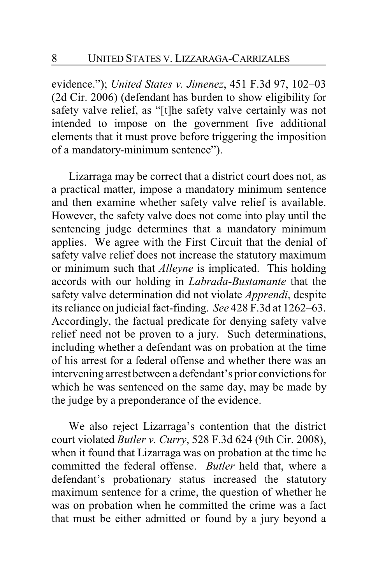evidence."); *United States v. Jimenez*, 451 F.3d 97, 102–03 (2d Cir. 2006) (defendant has burden to show eligibility for safety valve relief, as "[t]he safety valve certainly was not intended to impose on the government five additional elements that it must prove before triggering the imposition of a mandatory-minimum sentence").

Lizarraga may be correct that a district court does not, as a practical matter, impose a mandatory minimum sentence and then examine whether safety valve relief is available. However, the safety valve does not come into play until the sentencing judge determines that a mandatory minimum applies. We agree with the First Circuit that the denial of safety valve relief does not increase the statutory maximum or minimum such that *Alleyne* is implicated. This holding accords with our holding in *Labrada-Bustamante* that the safety valve determination did not violate *Apprendi*, despite its reliance on judicial fact-finding. *See* 428 F.3d at 1262–63. Accordingly, the factual predicate for denying safety valve relief need not be proven to a jury. Such determinations, including whether a defendant was on probation at the time of his arrest for a federal offense and whether there was an intervening arrest between a defendant's prior convictions for which he was sentenced on the same day, may be made by the judge by a preponderance of the evidence.

We also reject Lizarraga's contention that the district court violated *Butler v. Curry*, 528 F.3d 624 (9th Cir. 2008), when it found that Lizarraga was on probation at the time he committed the federal offense. *Butler* held that, where a defendant's probationary status increased the statutory maximum sentence for a crime, the question of whether he was on probation when he committed the crime was a fact that must be either admitted or found by a jury beyond a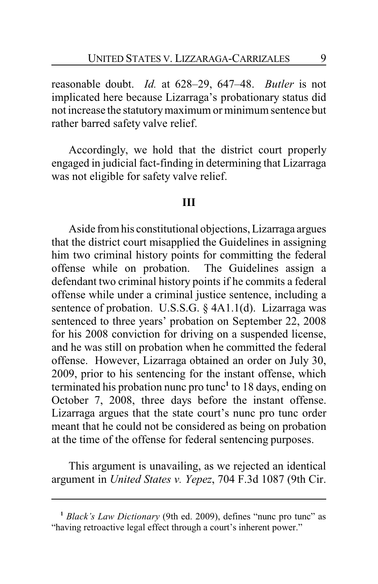reasonable doubt. *Id.* at 628–29, 647–48. *Butler* is not implicated here because Lizarraga's probationary status did not increase the statutorymaximum or minimum sentence but rather barred safety valve relief.

Accordingly, we hold that the district court properly engaged in judicial fact-finding in determining that Lizarraga was not eligible for safety valve relief.

#### **III**

Aside from his constitutional objections, Lizarraga argues that the district court misapplied the Guidelines in assigning him two criminal history points for committing the federal offense while on probation. The Guidelines assign a defendant two criminal history points if he commits a federal offense while under a criminal justice sentence, including a sentence of probation. U.S.S.G. § 4A1.1(d). Lizarraga was sentenced to three years' probation on September 22, 2008 for his 2008 conviction for driving on a suspended license, and he was still on probation when he committed the federal offense. However, Lizarraga obtained an order on July 30, 2009, prior to his sentencing for the instant offense, which terminated his probation nunc pro tunc**<sup>1</sup>** to 18 days, ending on October 7, 2008, three days before the instant offense. Lizarraga argues that the state court's nunc pro tunc order meant that he could not be considered as being on probation at the time of the offense for federal sentencing purposes.

This argument is unavailing, as we rejected an identical argument in *United States v. Yepez*, 704 F.3d 1087 (9th Cir.

**<sup>1</sup>** *Black's Law Dictionary* (9th ed. 2009), defines "nunc pro tunc" as "having retroactive legal effect through a court's inherent power."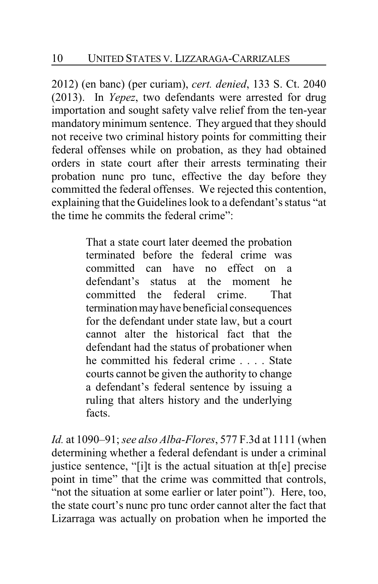2012) (en banc) (per curiam), *cert. denied*, 133 S. Ct. 2040 (2013). In *Yepez*, two defendants were arrested for drug importation and sought safety valve relief from the ten-year mandatory minimum sentence. They argued that they should not receive two criminal history points for committing their federal offenses while on probation, as they had obtained orders in state court after their arrests terminating their probation nunc pro tunc, effective the day before they committed the federal offenses. We rejected this contention, explaining that the Guidelines look to a defendant's status "at the time he commits the federal crime":

> That a state court later deemed the probation terminated before the federal crime was committed can have no effect on a defendant's status at the moment he committed the federal crime. That termination may have beneficial consequences for the defendant under state law, but a court cannot alter the historical fact that the defendant had the status of probationer when he committed his federal crime . . . . State courts cannot be given the authority to change a defendant's federal sentence by issuing a ruling that alters history and the underlying facts.

*Id.* at 1090–91; *see also Alba-Flores*, 577 F.3d at 1111 (when determining whether a federal defendant is under a criminal justice sentence, "[i]t is the actual situation at th[e] precise point in time" that the crime was committed that controls, "not the situation at some earlier or later point"). Here, too, the state court's nunc pro tunc order cannot alter the fact that Lizarraga was actually on probation when he imported the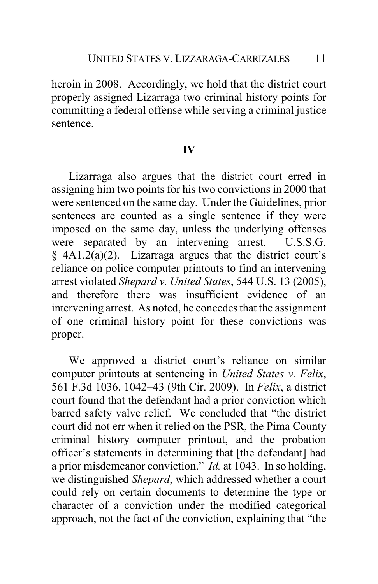heroin in 2008. Accordingly, we hold that the district court properly assigned Lizarraga two criminal history points for committing a federal offense while serving a criminal justice sentence.

## **IV**

Lizarraga also argues that the district court erred in assigning him two points for his two convictions in 2000 that were sentenced on the same day. Under the Guidelines, prior sentences are counted as a single sentence if they were imposed on the same day, unless the underlying offenses were separated by an intervening arrest. U.S.S.G.  $§$  4A1.2(a)(2). Lizarraga argues that the district court's reliance on police computer printouts to find an intervening arrest violated *Shepard v. United States*, 544 U.S. 13 (2005), and therefore there was insufficient evidence of an intervening arrest. As noted, he concedes that the assignment of one criminal history point for these convictions was proper.

We approved a district court's reliance on similar computer printouts at sentencing in *United States v. Felix*, 561 F.3d 1036, 1042–43 (9th Cir. 2009). In *Felix*, a district court found that the defendant had a prior conviction which barred safety valve relief. We concluded that "the district court did not err when it relied on the PSR, the Pima County criminal history computer printout, and the probation officer's statements in determining that [the defendant] had a prior misdemeanor conviction." *Id.* at 1043. In so holding, we distinguished *Shepard*, which addressed whether a court could rely on certain documents to determine the type or character of a conviction under the modified categorical approach, not the fact of the conviction, explaining that "the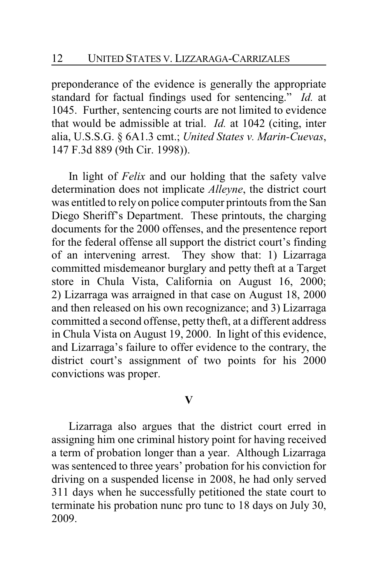preponderance of the evidence is generally the appropriate standard for factual findings used for sentencing." *Id.* at 1045. Further, sentencing courts are not limited to evidence that would be admissible at trial. *Id.* at 1042 (citing, inter alia, U.S.S.G. § 6A1.3 cmt.; *United States v. Marin-Cuevas*, 147 F.3d 889 (9th Cir. 1998)).

In light of *Felix* and our holding that the safety valve determination does not implicate *Alleyne*, the district court was entitled to rely on police computer printouts from the San Diego Sheriff's Department. These printouts, the charging documents for the 2000 offenses, and the presentence report for the federal offense all support the district court's finding of an intervening arrest. They show that: 1) Lizarraga committed misdemeanor burglary and petty theft at a Target store in Chula Vista, California on August 16, 2000; 2) Lizarraga was arraigned in that case on August 18, 2000 and then released on his own recognizance; and 3) Lizarraga committed a second offense, petty theft, at a different address in Chula Vista on August 19, 2000. In light of this evidence, and Lizarraga's failure to offer evidence to the contrary, the district court's assignment of two points for his 2000 convictions was proper.

#### **V**

Lizarraga also argues that the district court erred in assigning him one criminal history point for having received a term of probation longer than a year. Although Lizarraga was sentenced to three years' probation for his conviction for driving on a suspended license in 2008, he had only served 311 days when he successfully petitioned the state court to terminate his probation nunc pro tunc to 18 days on July 30, 2009.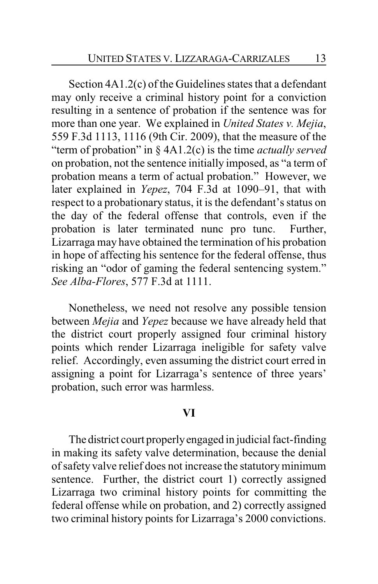Section 4A1.2(c) of the Guidelines states that a defendant may only receive a criminal history point for a conviction resulting in a sentence of probation if the sentence was for more than one year. We explained in *United States v. Mejia*, 559 F.3d 1113, 1116 (9th Cir. 2009), that the measure of the "term of probation" in § 4A1.2(c) is the time *actually served* on probation, not the sentence initially imposed, as "a term of probation means a term of actual probation." However, we later explained in *Yepez*, 704 F.3d at 1090–91, that with respect to a probationary status, it is the defendant's status on the day of the federal offense that controls, even if the probation is later terminated nunc pro tunc. Further, Lizarraga may have obtained the termination of his probation in hope of affecting his sentence for the federal offense, thus risking an "odor of gaming the federal sentencing system." *See Alba-Flores*, 577 F.3d at 1111.

Nonetheless, we need not resolve any possible tension between *Mejia* and *Yepez* because we have already held that the district court properly assigned four criminal history points which render Lizarraga ineligible for safety valve relief. Accordingly, even assuming the district court erred in assigning a point for Lizarraga's sentence of three years' probation, such error was harmless.

#### **VI**

The district court properlyengaged in judicial fact-finding in making its safety valve determination, because the denial of safety valve relief does not increase the statutoryminimum sentence. Further, the district court 1) correctly assigned Lizarraga two criminal history points for committing the federal offense while on probation, and 2) correctly assigned two criminal history points for Lizarraga's 2000 convictions.